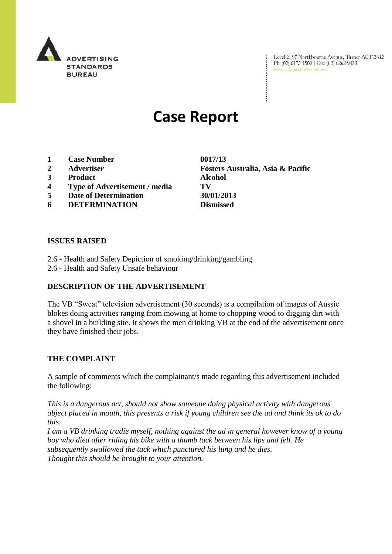

Level 2, 97 Northbourne Avenue, Turner ACT 2612 Ph: (02) 6173 1500 | Fax: (02) 6262 9833 www.adstandards.com.au

# **Case Report**

- **1 Case Number 0017/13**
- 
- **3 Product Alcohol**
- **4 Type of Advertisement / media TV**
- **5 Date of Determination 30/01/2013**
- **6 DETERMINATION Dismissed**

**2 Advertiser Fosters Australia, Asia & Pacific**

#### **ISSUES RAISED**

- 2.6 Health and Safety Depiction of smoking/drinking/gambling
- 2.6 Health and Safety Unsafe behaviour

# **DESCRIPTION OF THE ADVERTISEMENT**

The VB "Sweat" television advertisement (30 seconds) is a compilation of images of Aussie blokes doing activities ranging from mowing at home to chopping wood to digging dirt with a shovel in a building site. It shows the men drinking VB at the end of the advertisement once they have finished their jobs.

# **THE COMPLAINT**

A sample of comments which the complainant/s made regarding this advertisement included the following:

*This is a dangerous act, should not show someone doing physical activity with dangerous abject placed in mouth, this presents a risk if young children see the ad and think its ok to do this.*

*I am a VB drinking tradie myself, nothing against the ad in general however know of a young boy who died after riding his bike with a thumb tack between his lips and fell. He subsequently swallowed the tack which punctured his lung and he dies. Thought this should be brought to your attention.*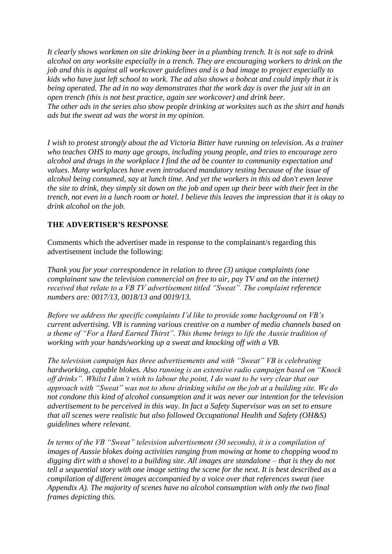*It clearly shows workmen on site drinking beer in a plumbing trench. It is not safe to drink alcohol on any worksite especially in a trench. They are encouraging workers to drink on the job and this is against all workcover guidelines and is a bad image to project especially to kids who have just left school to work. The ad also shows a bobcat and could imply that it is being operated. The ad in no way demonstrates that the work day is over the just sit in an open trench (this is not best practice, again see workcover) and drink beer. The other ads in the series also show people drinking at worksites such as the shirt and hands ads but the sweat ad was the worst in my opinion.*

*I wish to protest strongly about the ad Victoria Bitter have running on television. As a trainer who teaches OHS to many age groups, including young people, and tries to encourage zero alcohol and drugs in the workplace I find the ad be counter to community expectation and values. Many workplaces have even introduced mandatory testing because of the issue of alcohol being consumed, say at lunch time. And yet the workers in this ad don't even leave the site to drink, they simply sit down on the job and open up their beer with their feet in the trench, not even in a lunch room or hotel. I believe this leaves the impression that it is okay to drink alcohol on the job.*

#### **THE ADVERTISER'S RESPONSE**

Comments which the advertiser made in response to the complainant/s regarding this advertisement include the following:

*Thank you for your correspondence in relation to three (3) unique complaints (one complainant saw the television commercial on free to air, pay TV and on the internet) received that relate to a VB TV advertisement titled "Sweat". The complaint reference numbers are: 0017/13, 0018/13 and 0019/13.*

*Before we address the specific complaints I"d like to provide some background on VB"s current advertising. VB is running various creative on a number of media channels based on a theme of "For a Hard Earned Thirst". This theme brings to life the Aussie tradition of working with your hands/working up a sweat and knocking off with a VB.*

*The television campaign has three advertisements and with "Sweat" VB is celebrating hardworking, capable blokes. Also running is an extensive radio campaign based on "Knock off drinks". Whilst I don"t wish to labour the point, I do want to be very clear that our approach with "Sweat" was not to show drinking whilst on the job at a building site. We do not condone this kind of alcohol consumption and it was never our intention for the television advertisement to be perceived in this way. In fact a Safety Supervisor was on set to ensure that all scenes were realistic but also followed Occupational Health and Safety (OH&S) guidelines where relevant.*

*In terms of the VB "Sweat" television advertisement (30 seconds), it is a compilation of images of Aussie blokes doing activities ranging from mowing at home to chopping wood to digging dirt with a shovel to a building site. All images are standalone – that is they do not tell a sequential story with one image setting the scene for the next. It is best described as a compilation of different images accompanied by a voice over that references sweat (see Appendix A). The majority of scenes have no alcohol consumption with only the two final frames depicting this.*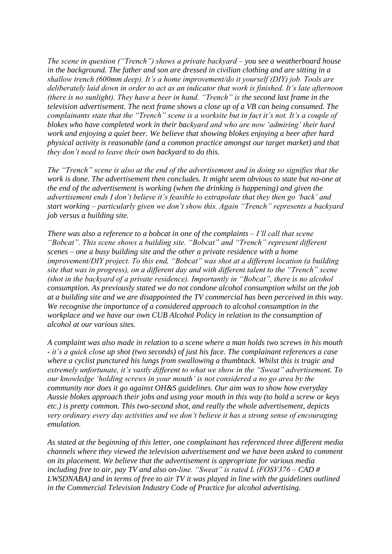*The scene in question ("Trench") shows a private backyard – you see a weatherboard house in the background. The father and son are dressed in civilian clothing and are sitting in a shallow trench (600mm deep). It"s a home improvement/do it yourself (DIY) job. Tools are deliberately laid down in order to act as an indicator that work is finished. It"s late afternoon (there is no sunlight). They have a beer in hand. "Trench" is the second last frame in the television advertisement. The next frame shows a close up of a VB can being consumed. The complainants state that the "Trench" scene is a worksite but in fact it's not. It's a couple of blokes who have completed work in their backyard and who are now "admiring" their hard work and enjoying a quiet beer. We believe that showing blokes enjoying a beer after hard physical activity is reasonable (and a common practice amongst our target market) and that they don"t need to leave their own backyard to do this.*

*The "Trench" scene is also at the end of the advertisement and in doing so signifies that the work is done. The advertisement then concludes. It might seem obvious to state but no-one at the end of the advertisement is working (when the drinking is happening) and given the advertisement ends I don"t believe it"s feasible to extrapolate that they then go "back" and start working – particularly given we don"t show this. Again "Trench" represents a backyard job versus a building site.*

*There was also a reference to a bobcat in one of the complaints – I"ll call that scene "Bobcat". This scene shows a building site. "Bobcat" and "Trench" represent different scenes – one a busy building site and the other a private residence with a home improvement/DIY project. To this end, "Bobcat" was shot at a different location (a building site that was in progress), on a different day and with different talent to the "Trench" scene (shot in the backyard of a private residence). Importantly in "Bobcat", there is no alcohol consumption. As previously stated we do not condone alcohol consumption whilst on the job at a building site and we are disappointed the TV commercial has been perceived in this way. We recognise the importance of a considered approach to alcohol consumption in the workplace and we have our own CUB Alcohol Policy in relation to the consumption of alcohol at our various sites.*

*A complaint was also made in relation to a scene where a man holds two screws in his mouth - it"s a quick close up shot (two seconds) of just his face. The complainant references a case where a cyclist punctured his lungs from swallowing a thumbtack. Whilst this is tragic and extremely unfortunate, it"s vastly different to what we show in the "Sweat" advertisement. To our knowledge "holding screws in your mouth" is not considered a no go area by the community nor does it go against OH&S guidelines. Our aim was to show how everyday Aussie blokes approach their jobs and using your mouth in this way (to hold a screw or keys etc.) is pretty common. This two-second shot, and really the whole advertisement, depicts very ordinary every day activities and we don"t believe it has a strong sense of encouraging emulation.*

*As stated at the beginning of this letter, one complainant has referenced three different media channels where they viewed the television advertisement and we have been asked to comment on its placement. We believe that the advertisement is appropriate for various media including free to air, pay TV and also on-line. "Sweat" is rated L (FOSV376 – CAD # LWSDNABA) and in terms of free to air TV it was played in line with the guidelines outlined in the Commercial Television Industry Code of Practice for alcohol advertising.*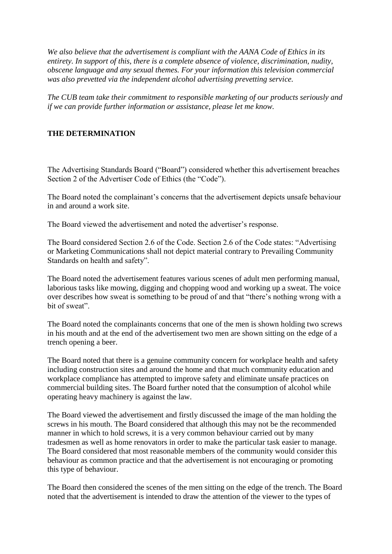*We also believe that the advertisement is compliant with the AANA Code of Ethics in its entirety. In support of this, there is a complete absence of violence, discrimination, nudity, obscene language and any sexual themes. For your information this television commercial was also prevetted via the independent alcohol advertising prevetting service.*

*The CUB team take their commitment to responsible marketing of our products seriously and if we can provide further information or assistance, please let me know.*

### **THE DETERMINATION**

The Advertising Standards Board ("Board") considered whether this advertisement breaches Section 2 of the Advertiser Code of Ethics (the "Code").

The Board noted the complainant's concerns that the advertisement depicts unsafe behaviour in and around a work site.

The Board viewed the advertisement and noted the advertiser"s response.

The Board considered Section 2.6 of the Code. Section 2.6 of the Code states: "Advertising or Marketing Communications shall not depict material contrary to Prevailing Community Standards on health and safety".

The Board noted the advertisement features various scenes of adult men performing manual, laborious tasks like mowing, digging and chopping wood and working up a sweat. The voice over describes how sweat is something to be proud of and that "there"s nothing wrong with a bit of sweat".

The Board noted the complainants concerns that one of the men is shown holding two screws in his mouth and at the end of the advertisement two men are shown sitting on the edge of a trench opening a beer.

The Board noted that there is a genuine community concern for workplace health and safety including construction sites and around the home and that much community education and workplace compliance has attempted to improve safety and eliminate unsafe practices on commercial building sites. The Board further noted that the consumption of alcohol while operating heavy machinery is against the law.

The Board viewed the advertisement and firstly discussed the image of the man holding the screws in his mouth. The Board considered that although this may not be the recommended manner in which to hold screws, it is a very common behaviour carried out by many tradesmen as well as home renovators in order to make the particular task easier to manage. The Board considered that most reasonable members of the community would consider this behaviour as common practice and that the advertisement is not encouraging or promoting this type of behaviour.

The Board then considered the scenes of the men sitting on the edge of the trench. The Board noted that the advertisement is intended to draw the attention of the viewer to the types of